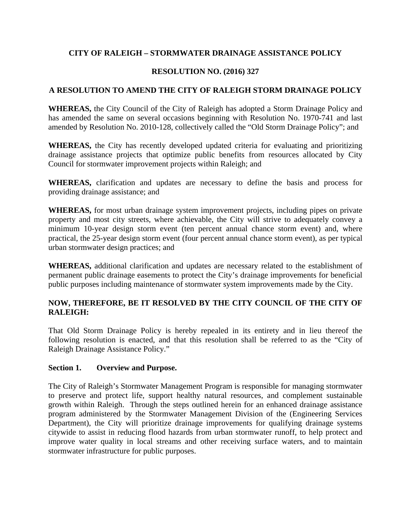## **CITY OF RALEIGH – STORMWATER DRAINAGE ASSISTANCE POLICY**

## **RESOLUTION NO. (2016) 327**

## **A RESOLUTION TO AMEND THE CITY OF RALEIGH STORM DRAINAGE POLICY**

**WHEREAS,** the City Council of the City of Raleigh has adopted a Storm Drainage Policy and has amended the same on several occasions beginning with Resolution No. 1970-741 and last amended by Resolution No. 2010-128, collectively called the "Old Storm Drainage Policy"; and

**WHEREAS,** the City has recently developed updated criteria for evaluating and prioritizing drainage assistance projects that optimize public benefits from resources allocated by City Council for stormwater improvement projects within Raleigh; and

**WHEREAS,** clarification and updates are necessary to define the basis and process for providing drainage assistance; and

**WHEREAS,** for most urban drainage system improvement projects, including pipes on private property and most city streets, where achievable, the City will strive to adequately convey a minimum 10-year design storm event (ten percent annual chance storm event) and, where practical, the 25-year design storm event (four percent annual chance storm event), as per typical urban stormwater design practices; and

**WHEREAS,** additional clarification and updates are necessary related to the establishment of permanent public drainage easements to protect the City's drainage improvements for beneficial public purposes including maintenance of stormwater system improvements made by the City.

# **NOW, THEREFORE, BE IT RESOLVED BY THE CITY COUNCIL OF THE CITY OF RALEIGH:**

That Old Storm Drainage Policy is hereby repealed in its entirety and in lieu thereof the following resolution is enacted, and that this resolution shall be referred to as the "City of Raleigh Drainage Assistance Policy."

#### **Section 1. Overview and Purpose.**

The City of Raleigh's Stormwater Management Program is responsible for managing stormwater to preserve and protect life, support healthy natural resources, and complement sustainable growth within Raleigh. Through the steps outlined herein for an enhanced drainage assistance program administered by the Stormwater Management Division of the (Engineering Services Department), the City will prioritize drainage improvements for qualifying drainage systems citywide to assist in reducing flood hazards from urban stormwater runoff, to help protect and improve water quality in local streams and other receiving surface waters, and to maintain stormwater infrastructure for public purposes.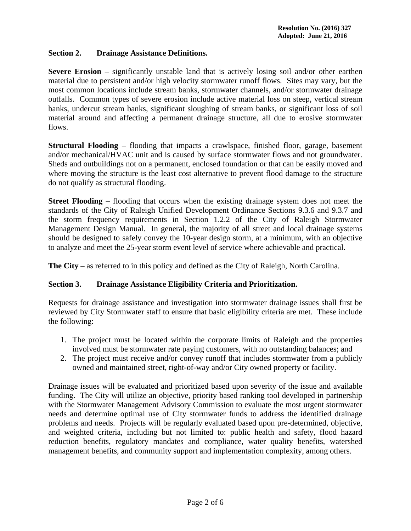### **Section 2. Drainage Assistance Definitions.**

**Severe Erosion** – significantly unstable land that is actively losing soil and/or other earthen material due to persistent and/or high velocity stormwater runoff flows. Sites may vary, but the most common locations include stream banks, stormwater channels, and/or stormwater drainage outfalls. Common types of severe erosion include active material loss on steep, vertical stream banks, undercut stream banks, significant sloughing of stream banks, or significant loss of soil material around and affecting a permanent drainage structure, all due to erosive stormwater flows.

**Structural Flooding** – flooding that impacts a crawlspace, finished floor, garage, basement and/or mechanical/HVAC unit and is caused by surface stormwater flows and not groundwater. Sheds and outbuildings not on a permanent, enclosed foundation or that can be easily moved and where moving the structure is the least cost alternative to prevent flood damage to the structure do not qualify as structural flooding.

**Street Flooding** – flooding that occurs when the existing drainage system does not meet the standards of the City of Raleigh Unified Development Ordinance Sections 9.3.6 and 9.3.7 and the storm frequency requirements in Section 1.2.2 of the City of Raleigh Stormwater Management Design Manual. In general, the majority of all street and local drainage systems should be designed to safely convey the 10-year design storm, at a minimum, with an objective to analyze and meet the 25-year storm event level of service where achievable and practical.

**The City** – as referred to in this policy and defined as the City of Raleigh, North Carolina.

#### **Section 3. Drainage Assistance Eligibility Criteria and Prioritization.**

Requests for drainage assistance and investigation into stormwater drainage issues shall first be reviewed by City Stormwater staff to ensure that basic eligibility criteria are met. These include the following:

- 1. The project must be located within the corporate limits of Raleigh and the properties involved must be stormwater rate paying customers, with no outstanding balances; and
- 2. The project must receive and/or convey runoff that includes stormwater from a publicly owned and maintained street, right-of-way and/or City owned property or facility.

Drainage issues will be evaluated and prioritized based upon severity of the issue and available funding. The City will utilize an objective, priority based ranking tool developed in partnership with the Stormwater Management Advisory Commission to evaluate the most urgent stormwater needs and determine optimal use of City stormwater funds to address the identified drainage problems and needs. Projects will be regularly evaluated based upon pre-determined, objective, and weighted criteria, including but not limited to: public health and safety, flood hazard reduction benefits, regulatory mandates and compliance, water quality benefits, watershed management benefits, and community support and implementation complexity, among others.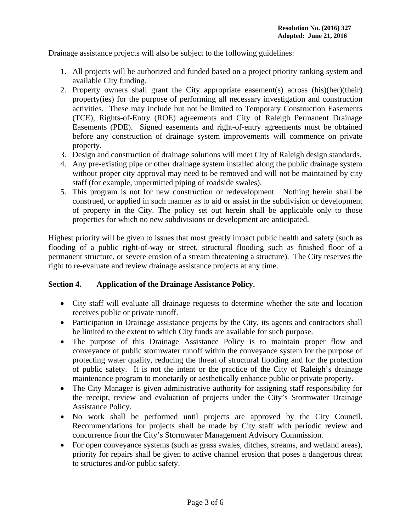Drainage assistance projects will also be subject to the following guidelines:

- 1. All projects will be authorized and funded based on a project priority ranking system and available City funding.
- 2. Property owners shall grant the City appropriate easement(s) across (his)(her)(their) property(ies) for the purpose of performing all necessary investigation and construction activities. These may include but not be limited to Temporary Construction Easements (TCE), Rights-of-Entry (ROE) agreements and City of Raleigh Permanent Drainage Easements (PDE). Signed easements and right-of-entry agreements must be obtained before any construction of drainage system improvements will commence on private property.
- 3. Design and construction of drainage solutions will meet City of Raleigh design standards.
- 4. Any pre-existing pipe or other drainage system installed along the public drainage system without proper city approval may need to be removed and will not be maintained by city staff (for example, unpermitted piping of roadside swales).
- 5. This program is not for new construction or redevelopment. Nothing herein shall be construed, or applied in such manner as to aid or assist in the subdivision or development of property in the City. The policy set out herein shall be applicable only to those properties for which no new subdivisions or development are anticipated.

Highest priority will be given to issues that most greatly impact public health and safety (such as flooding of a public right-of-way or street, structural flooding such as finished floor of a permanent structure, or severe erosion of a stream threatening a structure). The City reserves the right to re-evaluate and review drainage assistance projects at any time.

#### **Section 4. Application of the Drainage Assistance Policy.**

- City staff will evaluate all drainage requests to determine whether the site and location receives public or private runoff.
- Participation in Drainage assistance projects by the City, its agents and contractors shall be limited to the extent to which City funds are available for such purpose.
- The purpose of this Drainage Assistance Policy is to maintain proper flow and conveyance of public stormwater runoff within the conveyance system for the purpose of protecting water quality, reducing the threat of structural flooding and for the protection of public safety. It is not the intent or the practice of the City of Raleigh's drainage maintenance program to monetarily or aesthetically enhance public or private property.
- The City Manager is given administrative authority for assigning staff responsibility for the receipt, review and evaluation of projects under the City's Stormwater Drainage Assistance Policy.
- No work shall be performed until projects are approved by the City Council. Recommendations for projects shall be made by City staff with periodic review and concurrence from the City's Stormwater Management Advisory Commission.
- For open conveyance systems (such as grass swales, ditches, streams, and wetland areas), priority for repairs shall be given to active channel erosion that poses a dangerous threat to structures and/or public safety.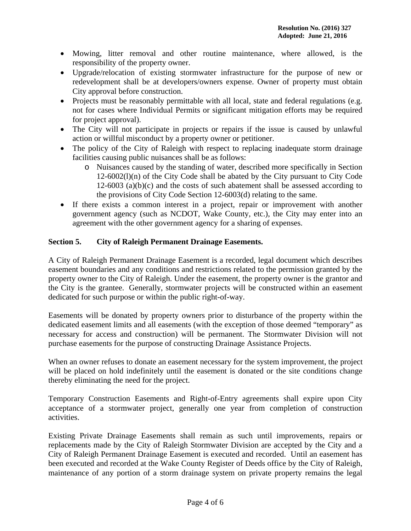- Mowing, litter removal and other routine maintenance, where allowed, is the responsibility of the property owner.
- Upgrade/relocation of existing stormwater infrastructure for the purpose of new or redevelopment shall be at developers/owners expense. Owner of property must obtain City approval before construction.
- Projects must be reasonably permittable with all local, state and federal regulations (e.g. not for cases where Individual Permits or significant mitigation efforts may be required for project approval).
- The City will not participate in projects or repairs if the issue is caused by unlawful action or willful misconduct by a property owner or petitioner.
- The policy of the City of Raleigh with respect to replacing inadequate storm drainage facilities causing public nuisances shall be as follows:
	- o Nuisances caused by the standing of water, described more specifically in Section 12-6002(l)(n) of the City Code shall be abated by the City pursuant to City Code  $12-6003$  (a)(b)(c) and the costs of such abatement shall be assessed according to the provisions of City Code Section 12-6003(d) relating to the same.
- If there exists a common interest in a project, repair or improvement with another government agency (such as NCDOT, Wake County, etc.), the City may enter into an agreement with the other government agency for a sharing of expenses.

# **Section 5. City of Raleigh Permanent Drainage Easements.**

A City of Raleigh Permanent Drainage Easement is a recorded, legal document which describes easement boundaries and any conditions and restrictions related to the permission granted by the property owner to the City of Raleigh. Under the easement, the property owner is the grantor and the City is the grantee. Generally, stormwater projects will be constructed within an easement dedicated for such purpose or within the public right-of-way.

Easements will be donated by property owners prior to disturbance of the property within the dedicated easement limits and all easements (with the exception of those deemed "temporary" as necessary for access and construction) will be permanent. The Stormwater Division will not purchase easements for the purpose of constructing Drainage Assistance Projects.

When an owner refuses to donate an easement necessary for the system improvement, the project will be placed on hold indefinitely until the easement is donated or the site conditions change thereby eliminating the need for the project.

Temporary Construction Easements and Right-of-Entry agreements shall expire upon City acceptance of a stormwater project, generally one year from completion of construction activities.

Existing Private Drainage Easements shall remain as such until improvements, repairs or replacements made by the City of Raleigh Stormwater Division are accepted by the City and a City of Raleigh Permanent Drainage Easement is executed and recorded. Until an easement has been executed and recorded at the Wake County Register of Deeds office by the City of Raleigh, maintenance of any portion of a storm drainage system on private property remains the legal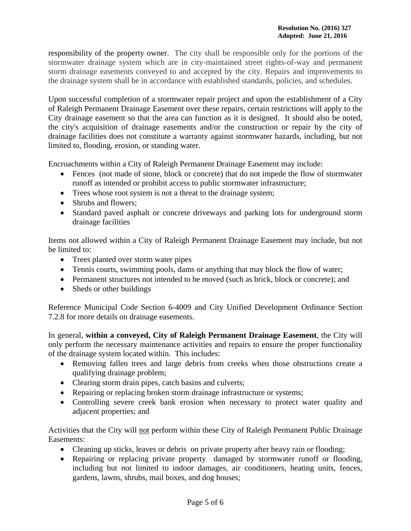responsibility of the property owner. The city shall be responsible only for the portions of the stormwater drainage system which are in city-maintained street rights-of-way and permanent storm drainage easements conveyed to and accepted by the city. Repairs and improvements to the drainage system shall be in accordance with established standards, policies, and schedules.

Upon successful completion of a stormwater repair project and upon the establishment of a City of Raleigh Permanent Drainage Easement over these repairs, certain restrictions will apply to the City drainage easement so that the area can function as it is designed. It should also be noted, the city's acquisition of drainage easements and/or the construction or repair by the city of drainage facilities does not constitute a warranty against stormwater hazards, including, but not limited to, flooding, erosion, or standing water.

Encroachments within a City of Raleigh Permanent Drainage Easement may include:

- Fences (not made of stone, block or concrete) that do not impede the flow of stormwater runoff as intended or prohibit access to public stormwater infrastructure;
- Trees whose root system is not a threat to the drainage system;
- Shrubs and flowers;
- Standard paved asphalt or concrete driveways and parking lots for underground storm drainage facilities

Items not allowed within a City of Raleigh Permanent Drainage Easement may include, but not be limited to:

- Trees planted over storm water pipes
- Tennis courts, swimming pools, dams or anything that may block the flow of water;
- Permanent structures not intended to be moved (such as brick, block or concrete); and
- Sheds or other buildings

Reference Municipal Code Section 6-4009 and City Unified Development Ordinance Section 7.2.8 for more details on drainage easements.

In general, **within a conveyed, City of Raleigh Permanent Drainage Easement**, the City will only perform the necessary maintenance activities and repairs to ensure the proper functionality of the drainage system located within. This includes:

- Removing fallen trees and large debris from creeks when those obstructions create a qualifying drainage problem;
- Clearing storm drain pipes, catch basins and culverts;
- Repairing or replacing broken storm drainage infrastructure or systems;
- Controlling severe creek bank erosion when necessary to protect water quality and adjacent properties; and

Activities that the City will not perform within these City of Raleigh Permanent Public Drainage Easements:

- Cleaning up sticks, leaves or debris on private property after heavy rain or flooding;
- Repairing or replacing private property damaged by stormwater runoff or flooding, including but not limited to indoor damages, air conditioners, heating units, fences, gardens, lawns, shrubs, mail boxes, and dog houses;